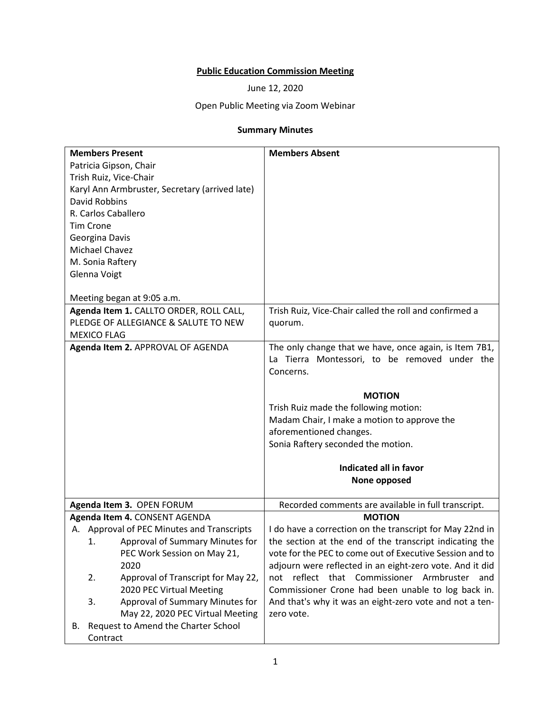# **Public Education Commission Meeting**

June 12, 2020

# Open Public Meeting via Zoom Webinar

# **Summary Minutes**

| <b>Members Present</b>                         | <b>Members Absent</b>                                         |
|------------------------------------------------|---------------------------------------------------------------|
| Patricia Gipson, Chair                         |                                                               |
| Trish Ruiz, Vice-Chair                         |                                                               |
| Karyl Ann Armbruster, Secretary (arrived late) |                                                               |
| <b>David Robbins</b>                           |                                                               |
| R. Carlos Caballero                            |                                                               |
| <b>Tim Crone</b>                               |                                                               |
| Georgina Davis                                 |                                                               |
| Michael Chavez                                 |                                                               |
| M. Sonia Raftery                               |                                                               |
| Glenna Voigt                                   |                                                               |
|                                                |                                                               |
| Meeting began at 9:05 a.m.                     |                                                               |
| Agenda Item 1. CALLTO ORDER, ROLL CALL,        | Trish Ruiz, Vice-Chair called the roll and confirmed a        |
| PLEDGE OF ALLEGIANCE & SALUTE TO NEW           | quorum.                                                       |
| <b>MEXICO FLAG</b>                             |                                                               |
| Agenda Item 2. APPROVAL OF AGENDA              | The only change that we have, once again, is Item 7B1,        |
|                                                | La Tierra Montessori, to be removed under the                 |
|                                                | Concerns.                                                     |
|                                                |                                                               |
|                                                | <b>MOTION</b>                                                 |
|                                                | Trish Ruiz made the following motion:                         |
|                                                | Madam Chair, I make a motion to approve the                   |
|                                                | aforementioned changes.<br>Sonia Raftery seconded the motion. |
|                                                |                                                               |
|                                                | Indicated all in favor                                        |
|                                                | None opposed                                                  |
|                                                |                                                               |
| Agenda Item 3. OPEN FORUM                      | Recorded comments are available in full transcript.           |
| Agenda Item 4. CONSENT AGENDA                  | <b>MOTION</b>                                                 |
| A. Approval of PEC Minutes and Transcripts     | I do have a correction on the transcript for May 22nd in      |
| Approval of Summary Minutes for<br>1.          | the section at the end of the transcript indicating the       |
| PEC Work Session on May 21,                    | vote for the PEC to come out of Executive Session and to      |
| 2020                                           | adjourn were reflected in an eight-zero vote. And it did      |
| Approval of Transcript for May 22,<br>2.       | reflect that Commissioner Armbruster and<br>not               |
| 2020 PEC Virtual Meeting                       | Commissioner Crone had been unable to log back in.            |
| Approval of Summary Minutes for<br>3.          | And that's why it was an eight-zero vote and not a ten-       |
| May 22, 2020 PEC Virtual Meeting               | zero vote.                                                    |
| Request to Amend the Charter School<br>В.      |                                                               |
| Contract                                       |                                                               |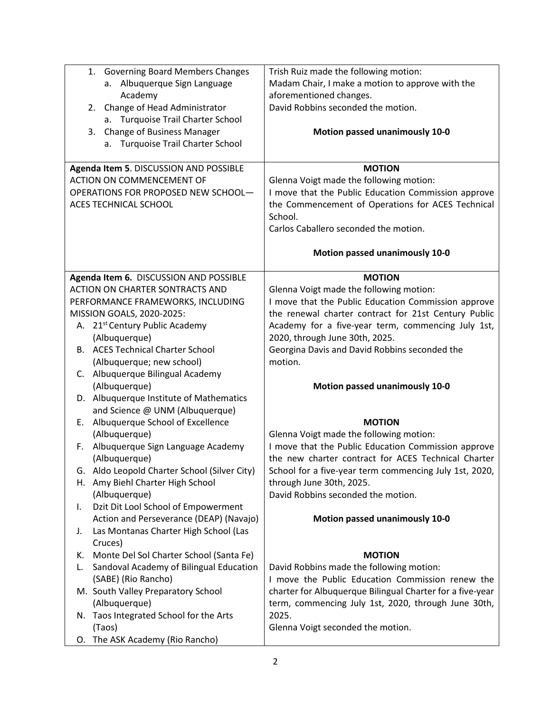|    | 1. Governing Board Members Changes           | Trish Ruiz made the following motion:                     |
|----|----------------------------------------------|-----------------------------------------------------------|
|    | Albuquerque Sign Language<br>а.              | Madam Chair, I make a motion to approve with the          |
|    | Academy                                      | aforementioned changes.                                   |
|    | Change of Head Administrator<br>2.           | David Robbins seconded the motion.                        |
|    | a. Turquoise Trail Charter School            |                                                           |
|    | Change of Business Manager<br>3.             | Motion passed unanimously 10-0                            |
|    | a. Turquoise Trail Charter School            |                                                           |
|    |                                              |                                                           |
|    | Agenda Item 5. DISCUSSION AND POSSIBLE       | <b>MOTION</b>                                             |
|    | <b>ACTION ON COMMENCEMENT OF</b>             | Glenna Voigt made the following motion:                   |
|    | OPERATIONS FOR PROPOSED NEW SCHOOL-          | I move that the Public Education Commission approve       |
|    | ACES TECHNICAL SCHOOL                        | the Commencement of Operations for ACES Technical         |
|    |                                              | School.                                                   |
|    |                                              | Carlos Caballero seconded the motion.                     |
|    |                                              |                                                           |
|    |                                              | Motion passed unanimously 10-0                            |
|    |                                              |                                                           |
|    | Agenda Item 6. DISCUSSION AND POSSIBLE       | <b>MOTION</b>                                             |
|    | ACTION ON CHARTER SONTRACTS AND              | Glenna Voigt made the following motion:                   |
|    | PERFORMANCE FRAMEWORKS, INCLUDING            | I move that the Public Education Commission approve       |
|    | MISSION GOALS, 2020-2025:                    | the renewal charter contract for 21st Century Public      |
|    | A. 21 <sup>st</sup> Century Public Academy   | Academy for a five-year term, commencing July 1st,        |
|    | (Albuquerque)                                | 2020, through June 30th, 2025.                            |
|    | <b>B.</b> ACES Technical Charter School      | Georgina Davis and David Robbins seconded the             |
|    | (Albuquerque; new school)                    | motion.                                                   |
| C. | Albuquerque Bilingual Academy                |                                                           |
|    | (Albuquerque)                                | Motion passed unanimously 10-0                            |
|    | D. Albuquerque Institute of Mathematics      |                                                           |
|    | and Science @ UNM (Albuquerque)              |                                                           |
| Е. | Albuquerque School of Excellence             | <b>MOTION</b>                                             |
|    | (Albuquerque)                                | Glenna Voigt made the following motion:                   |
| F. | Albuquerque Sign Language Academy            | I move that the Public Education Commission approve       |
|    | (Albuquerque)                                | the new charter contract for ACES Technical Charter       |
|    | G. Aldo Leopold Charter School (Silver City) | School for a five-year term commencing July 1st, 2020,    |
| Н. | Amy Biehl Charter High School                | through June 30th, 2025.                                  |
|    | (Albuquerque)                                | David Robbins seconded the motion.                        |
| I. | Dzit Dit Lool School of Empowerment          |                                                           |
|    | Action and Perseverance (DEAP) (Navajo)      | Motion passed unanimously 10-0                            |
| J. | Las Montanas Charter High School (Las        |                                                           |
|    | Cruces)                                      |                                                           |
| ĸ. | Monte Del Sol Charter School (Santa Fe)      | <b>MOTION</b>                                             |
| L. | Sandoval Academy of Bilingual Education      | David Robbins made the following motion:                  |
|    | (SABE) (Rio Rancho)                          | I move the Public Education Commission renew the          |
|    | M. South Valley Preparatory School           | charter for Albuquerque Bilingual Charter for a five-year |
|    | (Albuquerque)                                | term, commencing July 1st, 2020, through June 30th,       |
|    | N. Taos Integrated School for the Arts       | 2025.                                                     |
|    | (Taos)                                       | Glenna Voigt seconded the motion.                         |
|    | O. The ASK Academy (Rio Rancho)              |                                                           |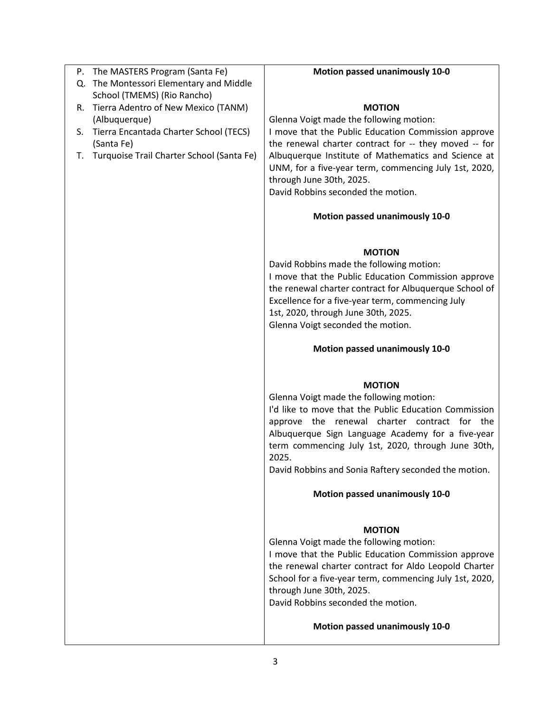| Q. The Montessori Elementary and Middle         |                                                                                                |
|-------------------------------------------------|------------------------------------------------------------------------------------------------|
|                                                 |                                                                                                |
| School (TMEMS) (Rio Rancho)                     |                                                                                                |
| R. Tierra Adentro of New Mexico (TANM)          | <b>MOTION</b>                                                                                  |
| (Albuquerque)                                   | Glenna Voigt made the following motion:                                                        |
| S. Tierra Encantada Charter School (TECS)       | I move that the Public Education Commission approve                                            |
| (Santa Fe)                                      | the renewal charter contract for -- they moved -- for                                          |
| Turquoise Trail Charter School (Santa Fe)<br>Т. | Albuquerque Institute of Mathematics and Science at                                            |
|                                                 | UNM, for a five-year term, commencing July 1st, 2020,                                          |
|                                                 | through June 30th, 2025.                                                                       |
|                                                 | David Robbins seconded the motion.                                                             |
|                                                 |                                                                                                |
|                                                 | <b>Motion passed unanimously 10-0</b>                                                          |
|                                                 | <b>MOTION</b>                                                                                  |
|                                                 | David Robbins made the following motion:                                                       |
|                                                 | I move that the Public Education Commission approve                                            |
|                                                 | the renewal charter contract for Albuquerque School of                                         |
|                                                 | Excellence for a five-year term, commencing July                                               |
|                                                 | 1st, 2020, through June 30th, 2025.                                                            |
|                                                 | Glenna Voigt seconded the motion.                                                              |
|                                                 |                                                                                                |
|                                                 | Motion passed unanimously 10-0                                                                 |
|                                                 | <b>MOTION</b>                                                                                  |
|                                                 | Glenna Voigt made the following motion:                                                        |
|                                                 | I'd like to move that the Public Education Commission                                          |
|                                                 | approve the renewal charter contract for the                                                   |
|                                                 | Albuquerque Sign Language Academy for a five-year                                              |
|                                                 | term commencing July 1st, 2020, through June 30th,                                             |
|                                                 | 2025.                                                                                          |
|                                                 | David Robbins and Sonia Raftery seconded the motion.                                           |
|                                                 | <b>Motion passed unanimously 10-0</b>                                                          |
|                                                 |                                                                                                |
|                                                 | <b>MOTION</b>                                                                                  |
|                                                 | Glenna Voigt made the following motion:<br>I move that the Public Education Commission approve |
|                                                 | the renewal charter contract for Aldo Leopold Charter                                          |
|                                                 |                                                                                                |
|                                                 | School for a five-year term, commencing July 1st, 2020,                                        |
|                                                 | through June 30th, 2025.<br>David Robbins seconded the motion.                                 |
|                                                 |                                                                                                |
|                                                 | Motion passed unanimously 10-0                                                                 |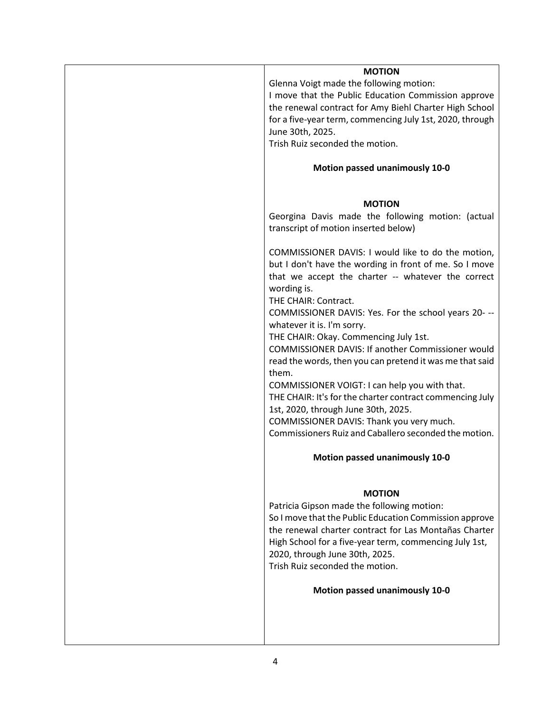| <b>MOTION</b>                                            |
|----------------------------------------------------------|
| Glenna Voigt made the following motion:                  |
| I move that the Public Education Commission approve      |
|                                                          |
| the renewal contract for Amy Biehl Charter High School   |
| for a five-year term, commencing July 1st, 2020, through |
| June 30th, 2025.                                         |
| Trish Ruiz seconded the motion.                          |
|                                                          |
|                                                          |
| Motion passed unanimously 10-0                           |
|                                                          |
|                                                          |
| <b>MOTION</b>                                            |
| Georgina Davis made the following motion: (actual        |
| transcript of motion inserted below)                     |
|                                                          |
| COMMISSIONER DAVIS: I would like to do the motion,       |
| but I don't have the wording in front of me. So I move   |
|                                                          |
| that we accept the charter -- whatever the correct       |
| wording is.                                              |
| THE CHAIR: Contract.                                     |
| COMMISSIONER DAVIS: Yes. For the school years 20- --     |
|                                                          |
| whatever it is. I'm sorry.                               |
| THE CHAIR: Okay. Commencing July 1st.                    |
| <b>COMMISSIONER DAVIS: If another Commissioner would</b> |
| read the words, then you can pretend it was me that said |
| them.                                                    |
| COMMISSIONER VOIGT: I can help you with that.            |
|                                                          |
| THE CHAIR: It's for the charter contract commencing July |
| 1st, 2020, through June 30th, 2025.                      |
| COMMISSIONER DAVIS: Thank you very much.                 |
| Commissioners Ruiz and Caballero seconded the motion.    |
|                                                          |
| <b>Motion passed unanimously 10-0</b>                    |
|                                                          |
|                                                          |
| <b>MOTION</b>                                            |
| Patricia Gipson made the following motion:               |
| So I move that the Public Education Commission approve   |
| the renewal charter contract for Las Montañas Charter    |
| High School for a five-year term, commencing July 1st,   |
|                                                          |
| 2020, through June 30th, 2025.                           |
| Trish Ruiz seconded the motion.                          |
| Motion passed unanimously 10-0                           |
|                                                          |
|                                                          |
|                                                          |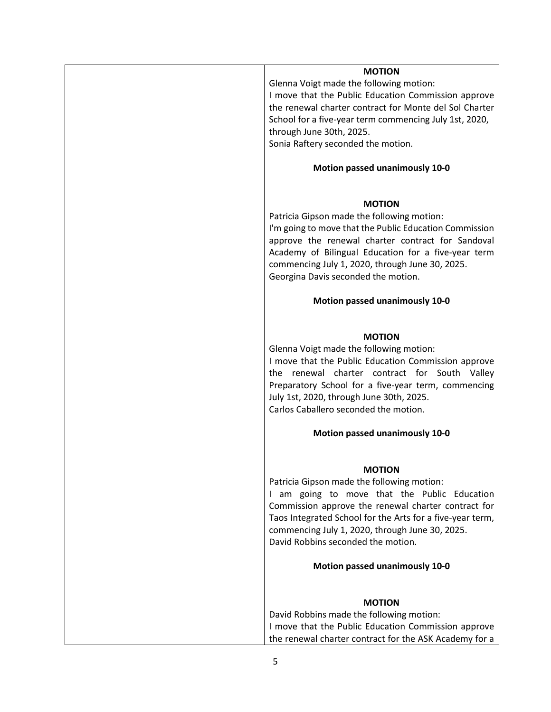#### **MOTION**

Glenna Voigt made the following motion: I move that the Public Education Commission approve the renewal charter contract for Monte del Sol Charter School for a five-year term commencing July 1st, 2020, through June 30th, 2025.

Sonia Raftery seconded the motion.

## **Motion passed unanimously 10-0**

#### **MOTION**

Patricia Gipson made the following motion: I'm going to move that the Public Education Commission approve the renewal charter contract for Sandoval Academy of Bilingual Education for a five-year term commencing July 1, 2020, through June 30, 2025. Georgina Davis seconded the motion.

#### **Motion passed unanimously 10-0**

#### **MOTION**

Glenna Voigt made the following motion: I move that the Public Education Commission approve the renewal charter contract for South Valley Preparatory School for a five-year term, commencing July 1st, 2020, through June 30th, 2025. Carlos Caballero seconded the motion.

## **Motion passed unanimously 10-0**

#### **MOTION**

Patricia Gipson made the following motion: I am going to move that the Public Education Commission approve the renewal charter contract for Taos Integrated School for the Arts for a five-year term, commencing July 1, 2020, through June 30, 2025. David Robbins seconded the motion.

## **Motion passed unanimously 10-0**

## **MOTION**

David Robbins made the following motion: I move that the Public Education Commission approve the renewal charter contract for the ASK Academy for a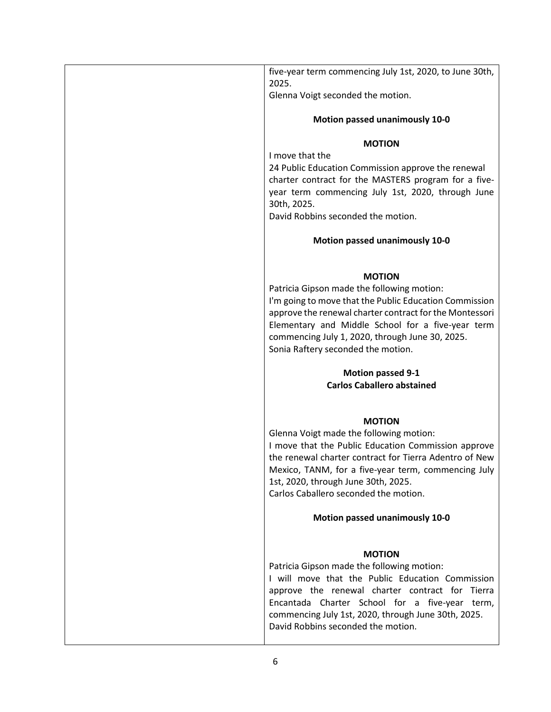| five-year term commencing July 1st, 2020, to June 30th,<br>2025.<br>Glenna Voigt seconded the motion.<br><b>Motion passed unanimously 10-0</b><br><b>MOTION</b><br>I move that the<br>24 Public Education Commission approve the renewal<br>charter contract for the MASTERS program for a five-<br>year term commencing July 1st, 2020, through June<br>30th, 2025.<br>David Robbins seconded the motion.<br>Motion passed unanimously 10-0<br><b>MOTION</b><br>Patricia Gipson made the following motion:<br>I'm going to move that the Public Education Commission<br>approve the renewal charter contract for the Montessori<br>Elementary and Middle School for a five-year term<br>commencing July 1, 2020, through June 30, 2025.<br>Sonia Raftery seconded the motion.<br><b>Motion passed 9-1</b><br><b>Carlos Caballero abstained</b><br><b>MOTION</b><br>Glenna Voigt made the following motion:<br>I move that the Public Education Commission approve<br>the renewal charter contract for Tierra Adentro of New<br>Mexico, TANM, for a five-year term, commencing July<br>1st, 2020, through June 30th, 2025.<br>Carlos Caballero seconded the motion.<br><b>Motion passed unanimously 10-0</b><br><b>MOTION</b><br>Patricia Gipson made the following motion:<br>I will move that the Public Education Commission<br>approve the renewal charter contract for Tierra<br>Encantada Charter School for a five-year term,<br>commencing July 1st, 2020, through June 30th, 2025.<br>David Robbins seconded the motion. |  |
|-----------------------------------------------------------------------------------------------------------------------------------------------------------------------------------------------------------------------------------------------------------------------------------------------------------------------------------------------------------------------------------------------------------------------------------------------------------------------------------------------------------------------------------------------------------------------------------------------------------------------------------------------------------------------------------------------------------------------------------------------------------------------------------------------------------------------------------------------------------------------------------------------------------------------------------------------------------------------------------------------------------------------------------------------------------------------------------------------------------------------------------------------------------------------------------------------------------------------------------------------------------------------------------------------------------------------------------------------------------------------------------------------------------------------------------------------------------------------------------------------------------------------------------|--|
|                                                                                                                                                                                                                                                                                                                                                                                                                                                                                                                                                                                                                                                                                                                                                                                                                                                                                                                                                                                                                                                                                                                                                                                                                                                                                                                                                                                                                                                                                                                                   |  |
|                                                                                                                                                                                                                                                                                                                                                                                                                                                                                                                                                                                                                                                                                                                                                                                                                                                                                                                                                                                                                                                                                                                                                                                                                                                                                                                                                                                                                                                                                                                                   |  |
|                                                                                                                                                                                                                                                                                                                                                                                                                                                                                                                                                                                                                                                                                                                                                                                                                                                                                                                                                                                                                                                                                                                                                                                                                                                                                                                                                                                                                                                                                                                                   |  |
|                                                                                                                                                                                                                                                                                                                                                                                                                                                                                                                                                                                                                                                                                                                                                                                                                                                                                                                                                                                                                                                                                                                                                                                                                                                                                                                                                                                                                                                                                                                                   |  |
|                                                                                                                                                                                                                                                                                                                                                                                                                                                                                                                                                                                                                                                                                                                                                                                                                                                                                                                                                                                                                                                                                                                                                                                                                                                                                                                                                                                                                                                                                                                                   |  |
|                                                                                                                                                                                                                                                                                                                                                                                                                                                                                                                                                                                                                                                                                                                                                                                                                                                                                                                                                                                                                                                                                                                                                                                                                                                                                                                                                                                                                                                                                                                                   |  |
|                                                                                                                                                                                                                                                                                                                                                                                                                                                                                                                                                                                                                                                                                                                                                                                                                                                                                                                                                                                                                                                                                                                                                                                                                                                                                                                                                                                                                                                                                                                                   |  |
|                                                                                                                                                                                                                                                                                                                                                                                                                                                                                                                                                                                                                                                                                                                                                                                                                                                                                                                                                                                                                                                                                                                                                                                                                                                                                                                                                                                                                                                                                                                                   |  |
|                                                                                                                                                                                                                                                                                                                                                                                                                                                                                                                                                                                                                                                                                                                                                                                                                                                                                                                                                                                                                                                                                                                                                                                                                                                                                                                                                                                                                                                                                                                                   |  |
|                                                                                                                                                                                                                                                                                                                                                                                                                                                                                                                                                                                                                                                                                                                                                                                                                                                                                                                                                                                                                                                                                                                                                                                                                                                                                                                                                                                                                                                                                                                                   |  |
|                                                                                                                                                                                                                                                                                                                                                                                                                                                                                                                                                                                                                                                                                                                                                                                                                                                                                                                                                                                                                                                                                                                                                                                                                                                                                                                                                                                                                                                                                                                                   |  |
|                                                                                                                                                                                                                                                                                                                                                                                                                                                                                                                                                                                                                                                                                                                                                                                                                                                                                                                                                                                                                                                                                                                                                                                                                                                                                                                                                                                                                                                                                                                                   |  |
|                                                                                                                                                                                                                                                                                                                                                                                                                                                                                                                                                                                                                                                                                                                                                                                                                                                                                                                                                                                                                                                                                                                                                                                                                                                                                                                                                                                                                                                                                                                                   |  |
|                                                                                                                                                                                                                                                                                                                                                                                                                                                                                                                                                                                                                                                                                                                                                                                                                                                                                                                                                                                                                                                                                                                                                                                                                                                                                                                                                                                                                                                                                                                                   |  |
|                                                                                                                                                                                                                                                                                                                                                                                                                                                                                                                                                                                                                                                                                                                                                                                                                                                                                                                                                                                                                                                                                                                                                                                                                                                                                                                                                                                                                                                                                                                                   |  |
|                                                                                                                                                                                                                                                                                                                                                                                                                                                                                                                                                                                                                                                                                                                                                                                                                                                                                                                                                                                                                                                                                                                                                                                                                                                                                                                                                                                                                                                                                                                                   |  |
|                                                                                                                                                                                                                                                                                                                                                                                                                                                                                                                                                                                                                                                                                                                                                                                                                                                                                                                                                                                                                                                                                                                                                                                                                                                                                                                                                                                                                                                                                                                                   |  |
|                                                                                                                                                                                                                                                                                                                                                                                                                                                                                                                                                                                                                                                                                                                                                                                                                                                                                                                                                                                                                                                                                                                                                                                                                                                                                                                                                                                                                                                                                                                                   |  |
|                                                                                                                                                                                                                                                                                                                                                                                                                                                                                                                                                                                                                                                                                                                                                                                                                                                                                                                                                                                                                                                                                                                                                                                                                                                                                                                                                                                                                                                                                                                                   |  |
|                                                                                                                                                                                                                                                                                                                                                                                                                                                                                                                                                                                                                                                                                                                                                                                                                                                                                                                                                                                                                                                                                                                                                                                                                                                                                                                                                                                                                                                                                                                                   |  |
|                                                                                                                                                                                                                                                                                                                                                                                                                                                                                                                                                                                                                                                                                                                                                                                                                                                                                                                                                                                                                                                                                                                                                                                                                                                                                                                                                                                                                                                                                                                                   |  |
|                                                                                                                                                                                                                                                                                                                                                                                                                                                                                                                                                                                                                                                                                                                                                                                                                                                                                                                                                                                                                                                                                                                                                                                                                                                                                                                                                                                                                                                                                                                                   |  |
|                                                                                                                                                                                                                                                                                                                                                                                                                                                                                                                                                                                                                                                                                                                                                                                                                                                                                                                                                                                                                                                                                                                                                                                                                                                                                                                                                                                                                                                                                                                                   |  |
|                                                                                                                                                                                                                                                                                                                                                                                                                                                                                                                                                                                                                                                                                                                                                                                                                                                                                                                                                                                                                                                                                                                                                                                                                                                                                                                                                                                                                                                                                                                                   |  |
|                                                                                                                                                                                                                                                                                                                                                                                                                                                                                                                                                                                                                                                                                                                                                                                                                                                                                                                                                                                                                                                                                                                                                                                                                                                                                                                                                                                                                                                                                                                                   |  |
|                                                                                                                                                                                                                                                                                                                                                                                                                                                                                                                                                                                                                                                                                                                                                                                                                                                                                                                                                                                                                                                                                                                                                                                                                                                                                                                                                                                                                                                                                                                                   |  |
|                                                                                                                                                                                                                                                                                                                                                                                                                                                                                                                                                                                                                                                                                                                                                                                                                                                                                                                                                                                                                                                                                                                                                                                                                                                                                                                                                                                                                                                                                                                                   |  |
|                                                                                                                                                                                                                                                                                                                                                                                                                                                                                                                                                                                                                                                                                                                                                                                                                                                                                                                                                                                                                                                                                                                                                                                                                                                                                                                                                                                                                                                                                                                                   |  |
|                                                                                                                                                                                                                                                                                                                                                                                                                                                                                                                                                                                                                                                                                                                                                                                                                                                                                                                                                                                                                                                                                                                                                                                                                                                                                                                                                                                                                                                                                                                                   |  |
|                                                                                                                                                                                                                                                                                                                                                                                                                                                                                                                                                                                                                                                                                                                                                                                                                                                                                                                                                                                                                                                                                                                                                                                                                                                                                                                                                                                                                                                                                                                                   |  |
|                                                                                                                                                                                                                                                                                                                                                                                                                                                                                                                                                                                                                                                                                                                                                                                                                                                                                                                                                                                                                                                                                                                                                                                                                                                                                                                                                                                                                                                                                                                                   |  |
|                                                                                                                                                                                                                                                                                                                                                                                                                                                                                                                                                                                                                                                                                                                                                                                                                                                                                                                                                                                                                                                                                                                                                                                                                                                                                                                                                                                                                                                                                                                                   |  |
|                                                                                                                                                                                                                                                                                                                                                                                                                                                                                                                                                                                                                                                                                                                                                                                                                                                                                                                                                                                                                                                                                                                                                                                                                                                                                                                                                                                                                                                                                                                                   |  |
|                                                                                                                                                                                                                                                                                                                                                                                                                                                                                                                                                                                                                                                                                                                                                                                                                                                                                                                                                                                                                                                                                                                                                                                                                                                                                                                                                                                                                                                                                                                                   |  |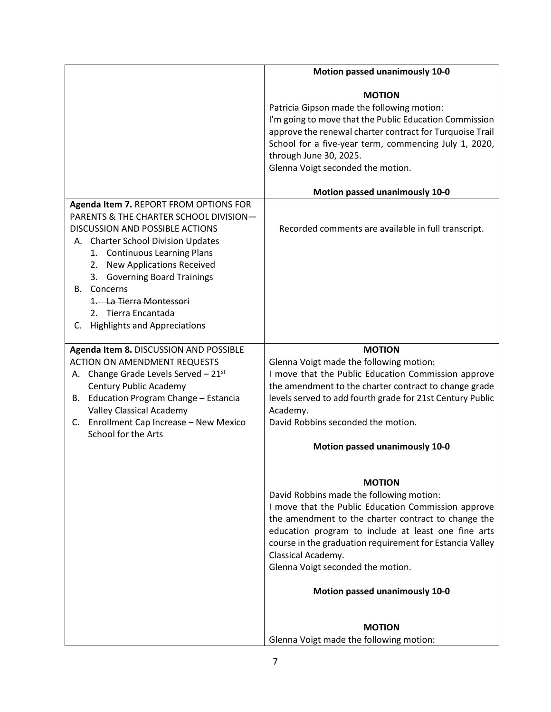|                                                                                                                                                                                                                                                                                                                                                                                   | Motion passed unanimously 10-0                                                                                                                                                                                                                                                                                                                                                                                  |
|-----------------------------------------------------------------------------------------------------------------------------------------------------------------------------------------------------------------------------------------------------------------------------------------------------------------------------------------------------------------------------------|-----------------------------------------------------------------------------------------------------------------------------------------------------------------------------------------------------------------------------------------------------------------------------------------------------------------------------------------------------------------------------------------------------------------|
|                                                                                                                                                                                                                                                                                                                                                                                   | <b>MOTION</b><br>Patricia Gipson made the following motion:<br>I'm going to move that the Public Education Commission<br>approve the renewal charter contract for Turquoise Trail<br>School for a five-year term, commencing July 1, 2020,<br>through June 30, 2025.<br>Glenna Voigt seconded the motion.                                                                                                       |
|                                                                                                                                                                                                                                                                                                                                                                                   | <b>Motion passed unanimously 10-0</b>                                                                                                                                                                                                                                                                                                                                                                           |
| Agenda Item 7. REPORT FROM OPTIONS FOR<br>PARENTS & THE CHARTER SCHOOL DIVISION-<br><b>DISCUSSION AND POSSIBLE ACTIONS</b><br>A. Charter School Division Updates<br>1. Continuous Learning Plans<br>2. New Applications Received<br>3. Governing Board Trainings<br>Concerns<br>В.<br>1. La Tierra Montessori<br>2. Tierra Encantada<br><b>Highlights and Appreciations</b><br>C. | Recorded comments are available in full transcript.                                                                                                                                                                                                                                                                                                                                                             |
| Agenda Item 8. DISCUSSION AND POSSIBLE                                                                                                                                                                                                                                                                                                                                            | <b>MOTION</b>                                                                                                                                                                                                                                                                                                                                                                                                   |
| <b>ACTION ON AMENDMENT REQUESTS</b><br>A. Change Grade Levels Served $-21^{st}$<br><b>Century Public Academy</b><br>B. Education Program Change - Estancia<br><b>Valley Classical Academy</b><br>Enrollment Cap Increase - New Mexico<br>C.<br>School for the Arts                                                                                                                | Glenna Voigt made the following motion:<br>I move that the Public Education Commission approve<br>the amendment to the charter contract to change grade<br>levels served to add fourth grade for 21st Century Public<br>Academy.<br>David Robbins seconded the motion.                                                                                                                                          |
|                                                                                                                                                                                                                                                                                                                                                                                   | <b>Motion passed unanimously 10-0</b>                                                                                                                                                                                                                                                                                                                                                                           |
|                                                                                                                                                                                                                                                                                                                                                                                   | <b>MOTION</b><br>David Robbins made the following motion:<br>I move that the Public Education Commission approve<br>the amendment to the charter contract to change the<br>education program to include at least one fine arts<br>course in the graduation requirement for Estancia Valley<br>Classical Academy.<br>Glenna Voigt seconded the motion.<br><b>Motion passed unanimously 10-0</b><br><b>MOTION</b> |
|                                                                                                                                                                                                                                                                                                                                                                                   | Glenna Voigt made the following motion:                                                                                                                                                                                                                                                                                                                                                                         |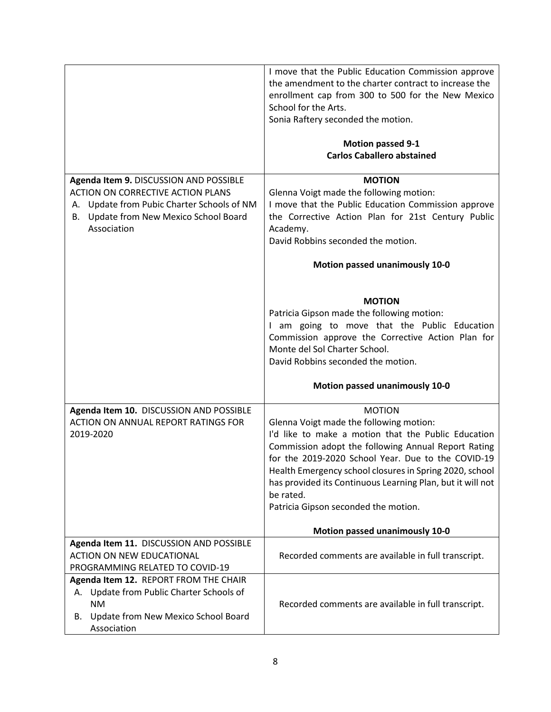|                                                                                                                                                                                          | I move that the Public Education Commission approve<br>the amendment to the charter contract to increase the<br>enrollment cap from 300 to 500 for the New Mexico<br>School for the Arts.<br>Sonia Raftery seconded the motion.<br><b>Motion passed 9-1</b><br><b>Carlos Caballero abstained</b>                                                                                                           |
|------------------------------------------------------------------------------------------------------------------------------------------------------------------------------------------|------------------------------------------------------------------------------------------------------------------------------------------------------------------------------------------------------------------------------------------------------------------------------------------------------------------------------------------------------------------------------------------------------------|
|                                                                                                                                                                                          |                                                                                                                                                                                                                                                                                                                                                                                                            |
| Agenda Item 9. DISCUSSION AND POSSIBLE<br>ACTION ON CORRECTIVE ACTION PLANS<br>Update from Pubic Charter Schools of NM<br>А.<br>Update from New Mexico School Board<br>В.<br>Association | <b>MOTION</b><br>Glenna Voigt made the following motion:<br>I move that the Public Education Commission approve<br>the Corrective Action Plan for 21st Century Public<br>Academy.<br>David Robbins seconded the motion.                                                                                                                                                                                    |
|                                                                                                                                                                                          | Motion passed unanimously 10-0                                                                                                                                                                                                                                                                                                                                                                             |
|                                                                                                                                                                                          | <b>MOTION</b><br>Patricia Gipson made the following motion:<br>I am going to move that the Public Education<br>Commission approve the Corrective Action Plan for<br>Monte del Sol Charter School.<br>David Robbins seconded the motion.                                                                                                                                                                    |
|                                                                                                                                                                                          | Motion passed unanimously 10-0                                                                                                                                                                                                                                                                                                                                                                             |
| Agenda Item 10. DISCUSSION AND POSSIBLE<br>ACTION ON ANNUAL REPORT RATINGS FOR<br>2019-2020                                                                                              | <b>MOTION</b><br>Glenna Voigt made the following motion:<br>I'd like to make a motion that the Public Education<br>Commission adopt the following Annual Report Rating<br>for the 2019-2020 School Year. Due to the COVID-19<br>Health Emergency school closures in Spring 2020, school<br>has provided its Continuous Learning Plan, but it will not<br>be rated.<br>Patricia Gipson seconded the motion. |
|                                                                                                                                                                                          | <b>Motion passed unanimously 10-0</b>                                                                                                                                                                                                                                                                                                                                                                      |
| Agenda Item 11. DISCUSSION AND POSSIBLE<br><b>ACTION ON NEW EDUCATIONAL</b><br>PROGRAMMING RELATED TO COVID-19                                                                           | Recorded comments are available in full transcript.                                                                                                                                                                                                                                                                                                                                                        |
| Agenda Item 12. REPORT FROM THE CHAIR<br>Update from Public Charter Schools of<br>А.<br><b>NM</b><br>Update from New Mexico School Board<br>В.<br>Association                            | Recorded comments are available in full transcript.                                                                                                                                                                                                                                                                                                                                                        |